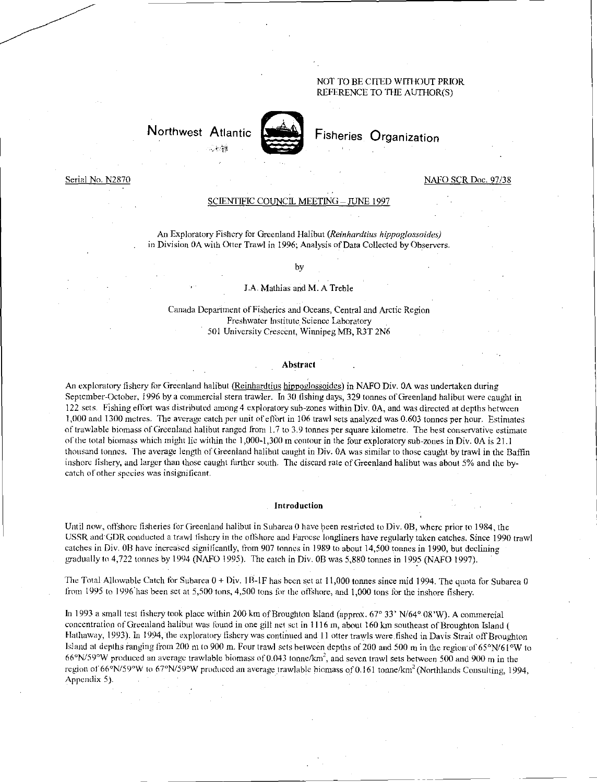## NOT TO BE CITED WITHOUT PRIOR REFERENCE TO THE AUTHOR(S)

# Northwest Atlantic



## Fisheries Organization

#### Serial No. N2870 NAFO SCR Doc. 97/38

#### <u>SCIENTIFIC COUNCIL MEETING – JUNE 1997</u>

An Exploratory Fishery for Greenland Halibut *(Reinhardtius hippoglossoides)*  in Division OA with Otter Trawl in 1996; Analysis of Data Collected by Observers.

#### by

#### J.A. Mathias and M. A Treble

Canada Department of Fisheries and Oceans, Central and Arctic Region Freshwater Institute Science Laboratory 501 University Crescent, Winnipeg MB, R3T 2N6

#### Abstract

An exploratory fishery for Greenland halibut (Reinhardtius hippoglossoides) in NAFO Div. 0A was undertaken during September-October, 1996 by a commercial stern trawler. In 30 fishing days, 329 tonnes of Greenland halibut were caught in 122 sets. Fishing effort was distributed among 4 exploratory sub-zones within Div. OA, and was directed at depths between 1,000 and 1300 metres. The average catch per unit of effort in 106 trawl sets analyzed was 0.603 tonnes per hour. Estimates of trawlable biomass of Greenland halibut ranged from l.7 to 3.9 tonnes per square kilometre. The best conservative estimate of the total biomass which might lie within the 1,000-1,300 in contour in the four exploratory sub-zones in Div. OA is 21.1 thousand tonnes. The average length of Greenland halibut caught in Div. OA was similar to those caught by trawl in the Baffin inshore fishery, and larger than those caught further south. The discard rate of Greenland halibut was about 5% and the bycatch of other species was insignificant.

#### Introduction

Until now, offshore fisheries for Greenland halibut in Subarea 0 have been restricted to Div. 0B, where prior to 1984, the USSR and GDR conducted a trawl fishery in the ofthhore and Faroese longliners have regularly taken catches. Since 1990 trawl catches in Div. 0B have increased significantly, from 907 tonnes in 1989 to about 14,500 tonnes in 1990, but declining *Lnadually* to 4,722 tonnes by 1994 (NAFO 1995). The catch in Div. OB was 5,880 tonnes in 1995 (NAFO 1997).

The Total Allowable Catch for Subarea  $0 + Div. 1B-1F$  has been set at 11,000 tonnes since mid 1994. The quota for Subarea 0 from 1995 to 1996 has been set at 5,500 tons, 4,500 tons for the offshore, and 1,000 tons for the inshore fishery.

In 1993 a small test fishery took place within 200 km of Broughton Island (approx. 67° 33' N/64° 08'W). A commercial concentration of Greenland halibut was found in one gill net set in 1116 m, about 160 km southeast of Broughton Island ( Hathaway, 1993). In 1994, the exploratory fishery was continued and 11 otter trawls were fished in Davis Strait off Broughton Island at depths ranging from 200 m to 900 m. Four trawl sets between depths of 200 and 500 m in the region of 65°N/61°W to  $66\textdegree N/59\textdegree W$  produced an average trawlable biomass of 0.043 tonne/km<sup>2</sup>, and seven trawl sets between 500 and 900 m in the region of 66°N/59°W to 67°N/59°W produced an average trawlable biomass of 0.161 tonne/km<sup>2</sup> (Northlands Consulting, 1994, Appendix 5).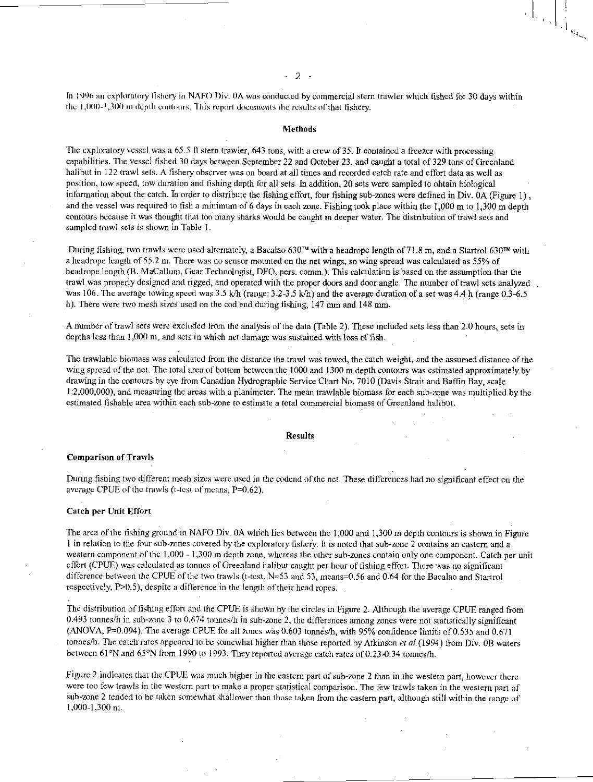In 1996 an exploratory fishery in NAFO Div. OA was conducted by commercial stern trawler which fished for 30 days within the 1,000-1,300 m depth contours. This report documents the results of that fishery.

### Methods

The exploratory vessel was a 65.5 ft stern trawler, 643 tons, with a crew of 35. It contained a freezer with processing capabilities. The vessel fished 30 days between September 22 and October 23, and caught a total of 329 tons of Greenland halibut in 122 trawl sets. A fishery observer was on board at all times and recorded catch rate and effort data as well as position, tow speed, tow duration and fishing depth for all sets- In addition, 20 sets were sampled to obtain biological information about the catch. In order to distribute the fishing effort, four fishing sub-zones were defined in Div. OA (Figure 1) , and the vessel was required to fish a minimum of 6 days in each zone. Fishing took place within the  $1,000$  m to  $1,300$  m depth contours because it was thought that too many sharks would be caught in deeper water. The distribution of trawl sets and sampled trawl sets is shown in Table 1.

During fishing, two trawls were used alternately, a Bacalao 630<sup>TM</sup> with a headrope length of 71.8 m, and a Startrol 630<sup>TM</sup> with a headrope length of 55.2 m. There was no sensor mounted on the net wings, so wing spread was calculated as 55% of headrope length (B. MaCallurn, Gear Technologist, DFO, pers. comm.). This calculation is based on the assumption that the trawl was properly designed and rigged, and operated with the proper doors and door angle. The number of trawl sets analyzed was 106. The average towing speed was 3.5 k/h (range: 3.2-3.5 k/h) and the average duration of a set was 4.4 h (range 0.3-6.5 h). There were two mesh sizes used on the cod end during fishing, 147 mm and 148 mm

A number of trawl sets were excluded from the analysis of the data (Table 2). These included sets less than 2.0 hours, sets in depths less than 1,000 m, and sets in which net damage was sustained with loss of fish.

The trawlable biomass was calculated from the distance the trawl was towed, the catch weight, and the assumed distance of the wing spread of the net. The total area of bottom between the 1000 and 1300 m depth contours was estimated approximately by drawing in the contours by eye from Canadian Hydrographic Service Chart No. 7010 (Davis Strait and Baffin Bay, scale 1:2,000,000), and measuring the areas with a planimeter. The mean trawlable biomass for each sub-zone was multiplied by the estimated fishable area within each sub-zone to estimate a total commercial biomass of Greenland halibut.

#### Results

#### Comparison of Trawls

During fishing two different mesh *sizes* were used in the codend of the net. These differences had no significant effect on the average CPUE of the trawls (t-test of means, P=0.62).

#### Catch per Unit Effort

The area of the fishing ground in NAFO Div. OA which lies between the 1,000 and 1,300 m depth contours is shown in Figure 1 in relation to the four sub-zones covered by the exploratory fishery. It is noted that sub-zone 2 contains an eastern and a western component of the 1,000 - 1,300 m depth zone, whereas the other sub-zones contain only one component. Catch per unit effort (CPUE) was calculated as tonnes of Greenland halibut caught per hour of fishing effort. There was no significant difference between the CPUE of the two trawls (t-test, N=53 and 53, means=0.56 and 0.64 for the Bacalao and Startrol respectively, P>0.5), despite a difference in the length of their head ropes.

The distribution of fishing effort and the CPUE is shown by the circles in Figure 2. Although the average CPUE ranged from 0.493 tonnes/h in sub-zone 3 to 0.674 tonnes/h in sub-zone 2, the differences among zones were not statistically significant (ANOVA, P=0.094). The average CPUE for all zones was 0.603 tonnes/h, with 95% confidence limits of 0.535 and 0.671 tonnes/h. The catch rates appeared to be somewhat higher than those reported by Atkinson *et a/. (1994)* from Div. OB waters between 61°N and 65°N from 1990 to 1993. They reported average catch rates of 0.23-0.34 tonnes/h.

Figure 2 indicates that the CPUE was much higher in the eastern part of sub-zone 2 than in the western part, however there were too few trawls in the western part to make a proper statistical comparison. The few trawls taken in the western part of sub-zone 2 tended to be taken somewhat shallower than those taken from the eastern part, although still within the range of 1,000-1,300 m.

#### 2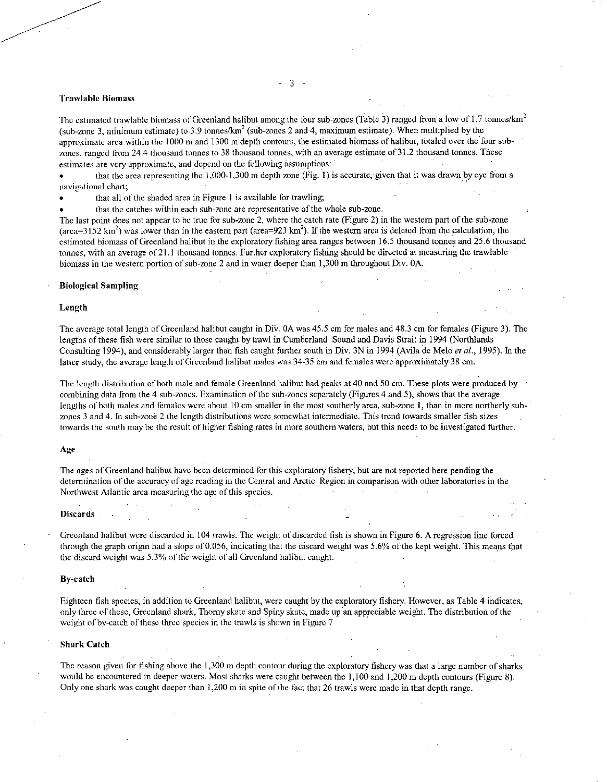#### Trawlable Biomass

The estimated trawlable biomass of Greenland halibut among the four sub-zones (Table 3) ranged from a low of 1.7 tonnes/km<sup>2</sup> (sub-zone 3, minimum estimate) to 3.9 tonnes/km<sup>2</sup> (sub-zones 2 and 4, maximum estimate). When multiplied by the approximate area within the 1000 m and 1300 m depth contours, the estimated biomass of halibut, totaled over the'four subzones, ranged from 24.4 thousand tonnes to 38 thousand tonnes, with an average estimate of 31.2 thousand tonnes. These estimates are very approximate, and depend on the following assumptions:

• that the area representing the 1,000-1,300 m depth zone (Fig. 1) is accurate, given that it was drawn by eye from a navigational chart;

• that all of the shaded area in Figure 1 is available for trawling;

• that the catches within each sub-zone are representative of the whole sub-zone.

The last point does not appear to be true for sub-zone 2, where the catch rate (Figure 2) in the western part of the sub-zone (area=3152 km<sup>2</sup>) was lower than in the eastern part (area=923 km<sup>2</sup>). If the western area is deleted from the calculation, the estimated biomass of Greenland halibut in the exploratory fishing area ranges between 16.5 thousand tonnes and 25.6 thousand tonnes, with an average of 21.1 thousand tonnes. Further exploratory fishing should be directed at measuring the trawlable biomass in the western portion of sub-zone 2 and in water deeper than 1,300 m throughout Div. OA.

#### Biological Sampling

#### Length

The average total length of Greenland halibut caught in DiV. OA was 45.5 cm for males and 48.3 cm for females (Figure 3). The lengths of these fish were similar to those caught by trawl in Cumberland Sound and Davis Strait in 1994 (Northlands Consulting 1994), and considerably larger than fish caught further south in Div. 3N in 1994 (Avila de Melo *et al.,* 1995). In the latter study, the average length of Greenland halibut males was 34-35 cm and females were approximately 38 cm.

The length distribution of both male and female Greenland halibut had peaks at 40 and 50 cm. These plots were produced by combining data from the 4 sub-zones. Examination of the sub-zones separately (Figures 4 and 5), shows that the average lengths of both males and females were about 10 cm smaller in the most southerly area, sub-zone 1, than in more northerly subzones 3 and 4. In sub-zone 2 the length distributions were somewhat intermediate. This trend towards smaller fish sizes towards the south may be the result of higher fishing rates in more southern waters, but this needs to be investigated further.

#### Age

The ages of Greenland halibut have been determined for this exploratory fishery, but are not reported here pending the determination of the accuracy of age reading in the Central and Arctic Region in comparison with other laboratories in the Northwest Atlantic area measuring the age of this species.

#### **Discards**

- Greenland halibut were discarded in 104 trawls. The weight of discarded fish is shown in Figure 6. A regression line forced through the *graph* origin had a slope of 0.056, indicating that the discard weight was 5.6% of the kept weight. This means that the discard weight was *5.3%* of the weight of all Greenland halibut caught.

#### By-catch

Eighteen fish species, in addition to Greenland halibut, were caught by the exploratory fishery. However, as Table 4 indicates, only three of these, Greenland shark, Thorny skate and Spiny skate, made up an appreciable weight. The distribution of the weight of by-catch of these three species in the trawls is shown in Figure 7

#### Shark Catch

The reason given for fishing above the 1,300 m depth contour during the exploratory fishery was that a large number of sharks would be encountered in deeper waters. Most sharks were caught between the 1,100 and 1,200 m depth contours (Figure 8). Only one shark was caught deeper than 1,200 m in spite of the fact that 26 trawls were made in that depth range.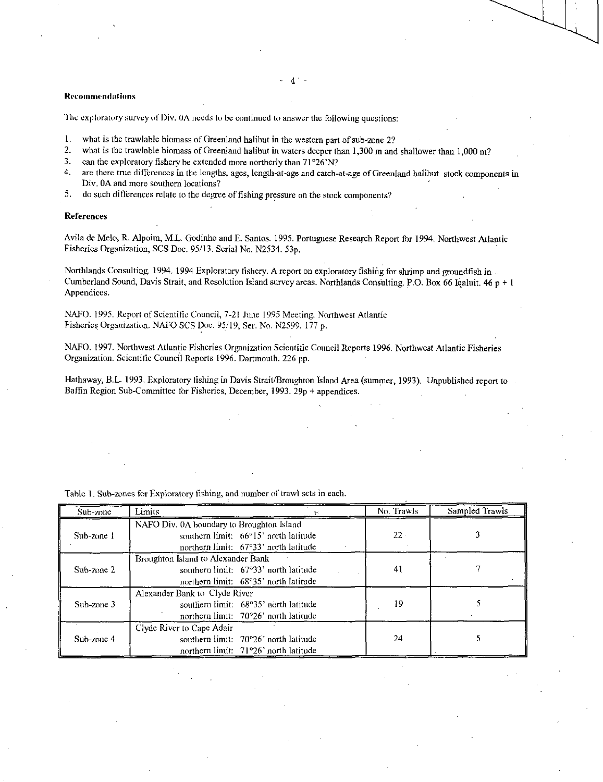#### **Recommendations**

'the exploratory survey of Div. OA needs to he continued to answer the following questions:

- I. what is the trawlable biomass of Greenland halibut in the western part of sub-zone 2?
- 2. what is the trawlable biomass of Greenland halibut in waters deeper than 1,300 m and shallower than 1,000 m?<br>3. can the exploratory fishery be extended more northerly than  $71^{\circ}26^{\circ}N$ ?
- 3. can the exploratory fishery be extended more northerly than  $71^{\circ}26'$ N?<br>4. are there true differences in the lengths, ages, length-at-age and catch-
- are there true differences in the lengths, ages, length-at-age and catch-at-age of Greenland halibut stock components in Div. OA and more southern locations?
- 5. do such differences relate to the degree of fishing pressure on the stock components?

#### References

Avila de Melo, R. Alpoim, M.L. Godinho and E. Santos. 1995. Portuguese Research Report for 1994. Northwest Atlantic Fisheries Organization, SCS Doc. 95/13. Serial No. N2534. 53p.

Northlands Consulting. 1994. 1994 Exploratory fishery. A report on exploratory fishing for shrimp and groundfish in Cumberland Sound, Davis Strait, and Resolution Island survey areas. Northlands Consulting. P.O. Box 66 Iqaluit.  $46p + 1$ Appendices.

NAFO. 1995. Report of Scientific Council, 7-21 June 1995 Meeting. Northwest Atlantic Fisheries Organization. NAFO SCS Doe. 95/19, Ser. No. N2599. 177 p.

NAFO. 1997. Northwest Atlantic Fisheries Organization Scientific Council Reports 1996. Northwest Atlantic Fisheries Organization. Scientific Council Reports 1996. Dartmouth. 226 pp.

Hathaway, B.L. 1993. Exploratory fishing in Davis Strait/Broughton Island Area (summer, 1993). Unpublished report to Baffin Region Sub-Committee for Fisheries, December, 1993. 29p + appendices.

| Sub-zone   | Limits                                    | No. Trawls | Sampled Trawls |  |
|------------|-------------------------------------------|------------|----------------|--|
|            | NAFO Div. 0A boundary to Broughton Island |            |                |  |
| Sub-zone 1 | southern limit: 66°15' north latitude     | $22 -$     |                |  |
|            | northern limit: 67°33' north latitude     |            |                |  |
| Sub-zone 2 | Broughton Island to Alexander Bank        |            |                |  |
|            | southern limit: $67°33'$ north latitude   | 41         |                |  |
|            | northern limit: 68°35' north latitude     |            |                |  |
| Sub-zone 3 | Alexander Bank to Clyde River             |            |                |  |
|            | southern limit: 68°35' north latitude     | 19         |                |  |
|            | northern limit: 70°26' north latitude     |            |                |  |
| Sub-zone 4 | Clyde River to Cape Adair                 |            |                |  |
|            | southern limit: 70°26' north latitude     | 24         |                |  |
|            | northern limit: 71°26' north latitude     |            |                |  |

Table 1. Sub-zones for Exploratory fishing, and number of trawl sets in each.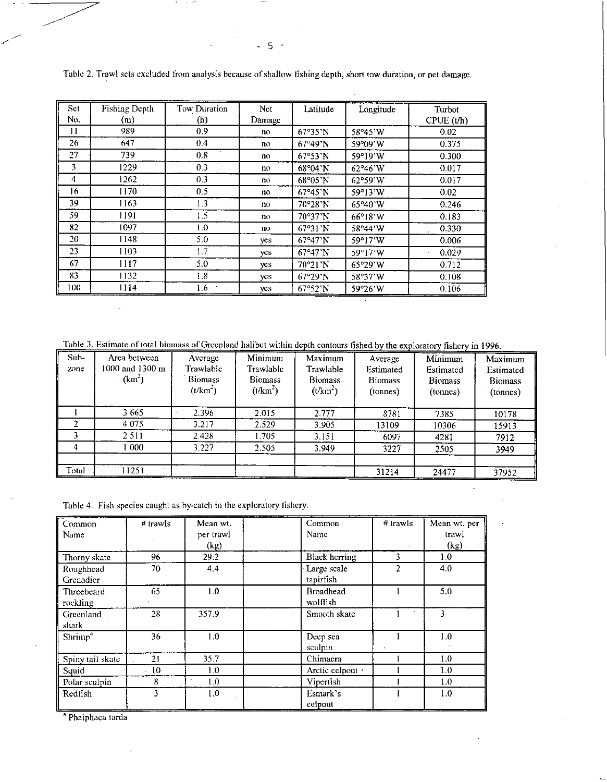| Set | Fishing Depth | Tow Duration | Net    | Latitude                 | Longitude               | Turbot    |
|-----|---------------|--------------|--------|--------------------------|-------------------------|-----------|
| No. | (m)           | (h)          | Damage |                          |                         | CPUE(t/h) |
| 11  | 989           | 0.9          | no.    | 67°35'N                  | 58°45'W                 | 0.02      |
| 26  | 647           | 0.4          | no     | 67°49'N                  | 59°09'W                 | 0.375     |
| 27  | 739           | 0.8          | no     | 67°53'N                  | 59°19'W                 | 0.300     |
| 3   | 1229          | 0.3          | no     | 68°04'N                  | 62°46'W                 | 0.017     |
| 4   | 1262          | 0.3          | no     | $68^{\circ}05^{\prime}N$ | 62°59'W                 | 0.017     |
| 16  | 1170          | 0.5          | no     | 67°45'N                  | 59°13'W                 | 0.02      |
| 39  | 1163          | 1.3          | no     | 70°28'N                  | 65°40'W                 | 0.246     |
| 59  | 1191          | 1.5          | no     | 70°37'N                  | $66^{\circ}18^{\circ}W$ | 0.183     |
| 82  | 1097          | 1.0          | no     | 67°31'N                  | 58°44'W                 | 0.330     |
| 20  | 1148          | 5.0          | yes.   | 67°47'N                  | 59°17'W                 | 0.006     |
| 23  | 1103          | 1.7          | yes    | 67°47'N                  | 59°17'W                 | 0.029     |
| 67  | 1117          | 5.0          | yes.   | 70°21'N                  | 65°29'W                 | 0.712     |
| 83  | 1132          | 1.8          | yes    | 67°29'N                  | 58°37'W                 | 0.108     |
| 100 | 1114          | 1.6          | yes    | 67°52'N                  | 59°26'W                 | 0.106     |

Table 2. Trawl sets excluded from analysis because of shallow fishing depth, short tow duration, or net damage.

Table 3. Estimate of total biomass of Greenland halibut within depth contours fished by the exploratory fishery in 1996.

| Area between<br>1000 and 1300 m<br>$(km^2)$ | Average<br>Trawlable<br><b>Biomass</b><br>$(t/km^2)$ | Minimum<br>Trawlable<br><b>Biomass</b><br>$(t/km^2)$ | Maximum<br>Trawlable<br><b>Biomass</b><br>$(t/km^2)$ | Average<br>Estimated<br><b>Biomass</b><br>(tonnes) | Minimum<br>Estimated<br><b>Biomass</b> | Maximum<br>Estimated<br><b>Biomass</b><br>$\cdot$ (tonnes) |
|---------------------------------------------|------------------------------------------------------|------------------------------------------------------|------------------------------------------------------|----------------------------------------------------|----------------------------------------|------------------------------------------------------------|
|                                             |                                                      |                                                      |                                                      |                                                    |                                        |                                                            |
| 3665                                        | 2.396                                                | 2.015                                                | 2.777                                                | 8781                                               | 7385                                   | 10178                                                      |
| 4 0 7 5                                     | 3.217                                                | 2.529                                                | 3.905                                                | 13109                                              | 10306                                  | 15913                                                      |
| 2511                                        | 2.428                                                | 1.705                                                | 3.151                                                | 6097                                               | 4281                                   | 7912                                                       |
| 000                                         | 3.227                                                | 2.505                                                | 3.949                                                | 3227                                               | 2505                                   | 3949                                                       |
|                                             |                                                      |                                                      |                                                      |                                                    |                                        | 37952                                                      |
|                                             | 11251                                                |                                                      |                                                      |                                                    |                                        | (tonnes)<br>31214<br>24477                                 |

Table 4. Fish species caught as by-catch in the exploratory fishery.

| Common                 | $#$ trawls | Mean wt.  | Common                       | $#$ trawls | Mean wt. per |
|------------------------|------------|-----------|------------------------------|------------|--------------|
| Name                   |            | per trawl | Name                         |            | trawl        |
|                        |            | (kg)      |                              |            | (kg)         |
| Thorny skate           | 96         | 29.2      | Black herring                | 3          | 1.0          |
| Roughhead<br>Grenadier | 70         | 4.4       | Large scale<br>tapiriish     | 2          | 4.0          |
| Threebeard<br>rockling | 65         | 1.0       | <b>Broadhead</b><br>wolftish |            | 5.0          |
| Greenland<br>shark     | 28         | 357.9     | Smooth skate                 |            | 3            |
| Shrimp <sup>a</sup>    | 36         | 1.0       | Deep sea<br>sculpin          |            | 1.0          |
| Spiny tail skate       | 21         | 35.7      | Chimaera                     |            | 1.0          |
| Squid                  | 10         | 1.0       | Arctic celpout ·             |            | 1.0          |
| Polar sculpin          | 8          | 1.0       | Viperfish                    |            | 1.0          |
| Redfish                | 3          | 1.0       | Esmark's<br>eelpout          |            | 1.0          |

Phaiphaea tarda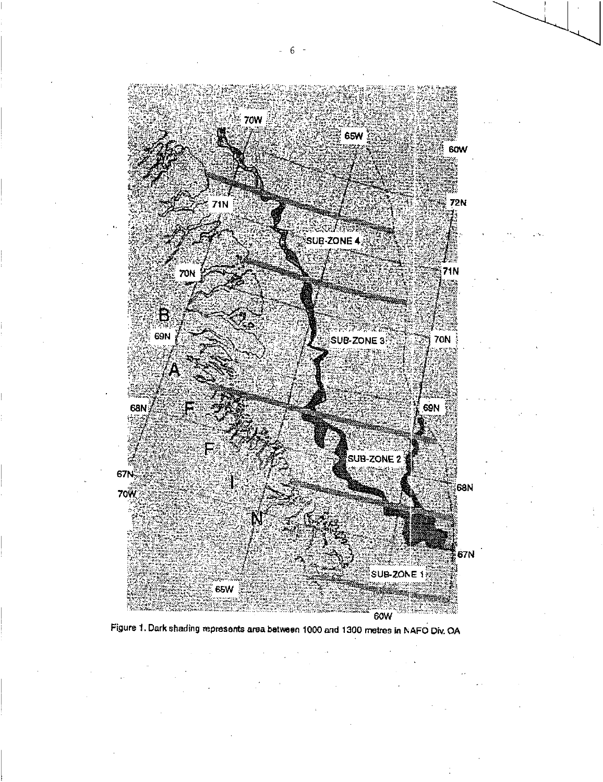

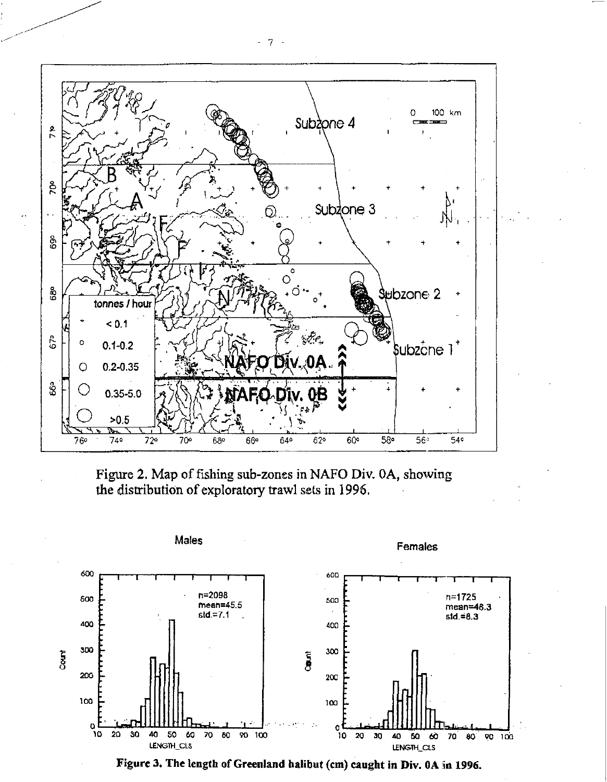

Figure 2. Map of fishing sub-zones in NAFO Div. 0A, showing the distribution of exploratory trawl sets in 1996.



Figure 3. The length of Greenland halibut (cm) caught in Div. 0A in 1996.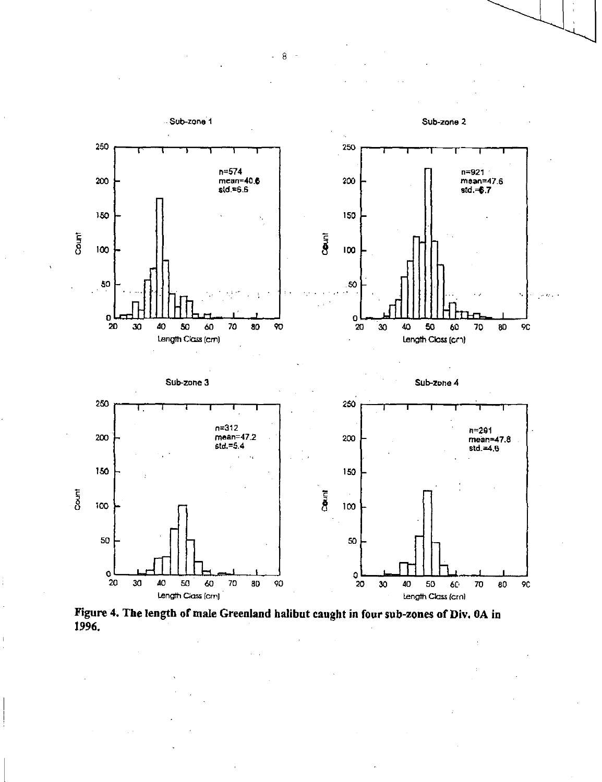

**Figure 4. The length of male Greenland halibut caught in four sub-zones of Div. OA in 1996.** 

- 8 -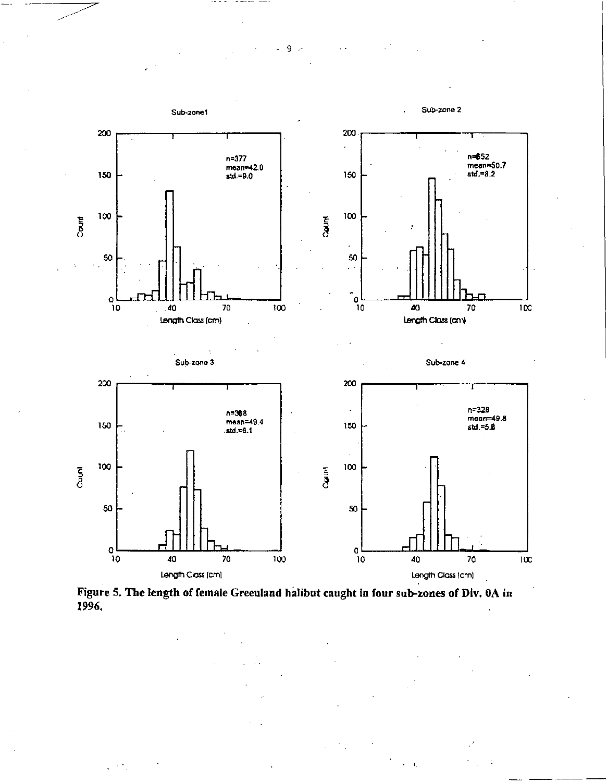

9

- -

**Figure 5. The length of female Greenland halibut caught in four sub-zones of Div. OA in 1996,**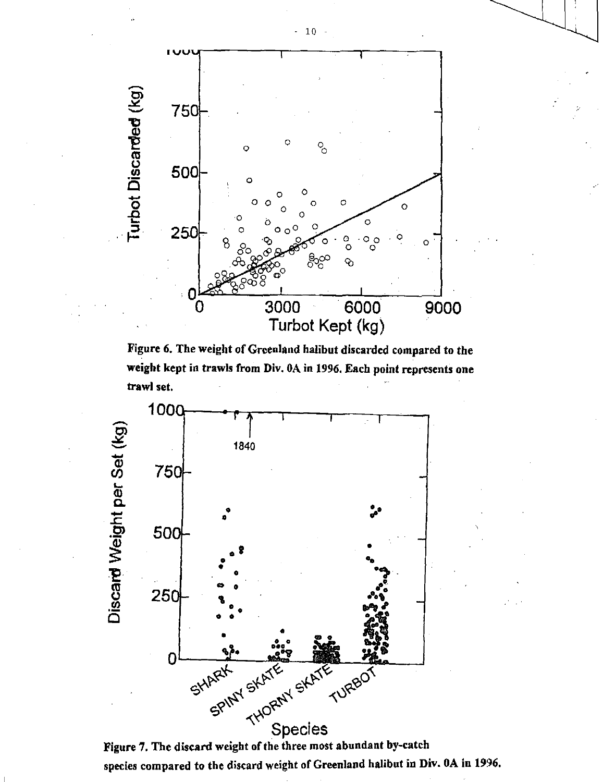

**Figure 6. The weight of Greenland halibut discarded compared to the weight kept in trawls from Div. OA in 1996. Each point represents one trawl set.** 



**Figure '7. The discard weight of the three most abundant by-catch**